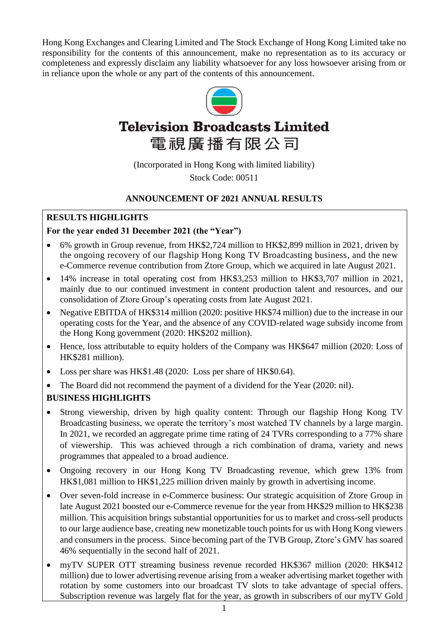Hong Kong Exchanges and Clearing Limited and The Stock Exchange of Hong Kong Limited take no responsibility for the contents of this announcement, make no representation as to its accuracy or completeness and expressly disclaim any liability whatsoever for any loss howsoever arising from or in reliance upon the whole or any part of the contents of this announcement.



# **Television Broadcasts Limited** 電視廣播有限公司

(Incorporated in Hong Kong with limited liability) Stock Code: 00511

## **ANNOUNCEMENT OF 2021 ANNUAL RESULTS**

## **RESULTS HIGHLIGHTS**

## **For the year ended 31 December 2021 (the "Year")**

- 6% growth in Group revenue, from HK\$2,724 million to HK\$2,899 million in 2021, driven by the ongoing recovery of our flagship Hong Kong TV Broadcasting business, and the new e-Commerce revenue contribution from Ztore Group, which we acquired in late August 2021.
- 14% increase in total operating cost from HK\$3,253 million to HK\$3,707 million in 2021, mainly due to our continued investment in content production talent and resources, and our consolidation of Ztore Group's operating costs from late August 2021.
- Negative EBITDA of HK\$314 million (2020: positive HK\$74 million) due to the increase in our operating costs for the Year, and the absence of any COVID-related wage subsidy income from the Hong Kong government (2020: HK\$202 million).
- Hence, loss attributable to equity holders of the Company was HK\$647 million (2020: Loss of HK\$281 million).
- Loss per share was HK\$1.48 (2020: Loss per share of HK\$0.64).
- The Board did not recommend the payment of a dividend for the Year (2020: nil).

## **BUSINESS HIGHLIGHTS**

- Strong viewership, driven by high quality content: Through our flagship Hong Kong TV Broadcasting business, we operate the territory's most watched TV channels by a large margin. In 2021, we recorded an aggregate prime time rating of 24 TVRs corresponding to a 77% share of viewership. This was achieved through a rich combination of drama, variety and news programmes that appealed to a broad audience.
- Ongoing recovery in our Hong Kong TV Broadcasting revenue, which grew 13% from HK\$1,081 million to HK\$1,225 million driven mainly by growth in advertising income.
- Over seven-fold increase in e-Commerce business: Our strategic acquisition of Ztore Group in late August 2021 boosted our e-Commerce revenue for the year from HK\$29 million to HK\$238 million. This acquisition brings substantial opportunities for us to market and cross-sell products to our large audience base, creating new monetizable touch points for us with Hong Kong viewers and consumers in the process. Since becoming part of the TVB Group, Ztore's GMV has soared 46% sequentially in the second half of 2021.
- myTV SUPER OTT streaming business revenue recorded HK\$367 million (2020: HK\$412 million) due to lower advertising revenue arising from a weaker advertising market together with rotation by some customers into our broadcast TV slots to take advantage of special offers. Subscription revenue was largely flat for the year, as growth in subscribers of our myTV Gold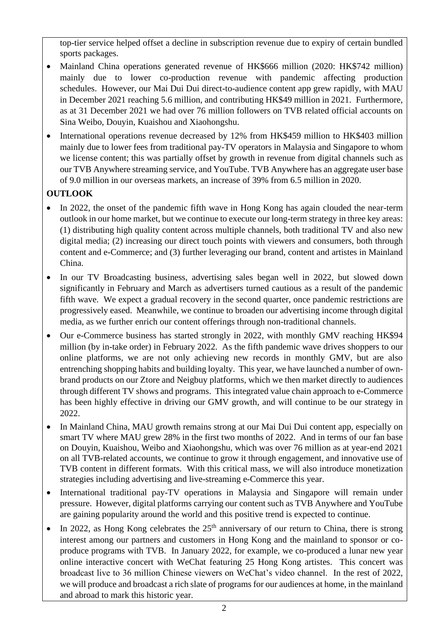top-tier service helped offset a decline in subscription revenue due to expiry of certain bundled sports packages.

- Mainland China operations generated revenue of HK\$666 million (2020: HK\$742 million) mainly due to lower co-production revenue with pandemic affecting production schedules. However, our Mai Dui Dui direct-to-audience content app grew rapidly, with MAU in December 2021 reaching 5.6 million, and contributing HK\$49 million in 2021. Furthermore, as at 31 December 2021 we had over 76 million followers on TVB related official accounts on Sina Weibo, Douyin, Kuaishou and Xiaohongshu.
- International operations revenue decreased by 12% from HK\$459 million to HK\$403 million mainly due to lower fees from traditional pay-TV operators in Malaysia and Singapore to whom we license content; this was partially offset by growth in revenue from digital channels such as our TVB Anywhere streaming service, and YouTube. TVB Anywhere has an aggregate user base of 9.0 million in our overseas markets, an increase of 39% from 6.5 million in 2020.

## **OUTLOOK**

- In 2022, the onset of the pandemic fifth wave in Hong Kong has again clouded the near-term outlook in our home market, but we continue to execute our long-term strategy in three key areas: (1) distributing high quality content across multiple channels, both traditional TV and also new digital media; (2) increasing our direct touch points with viewers and consumers, both through content and e-Commerce; and (3) further leveraging our brand, content and artistes in Mainland China.
- In our TV Broadcasting business, advertising sales began well in 2022, but slowed down significantly in February and March as advertisers turned cautious as a result of the pandemic fifth wave. We expect a gradual recovery in the second quarter, once pandemic restrictions are progressively eased. Meanwhile, we continue to broaden our advertising income through digital media, as we further enrich our content offerings through non-traditional channels.
- Our e-Commerce business has started strongly in 2022, with monthly GMV reaching HK\$94 million (by in-take order) in February 2022. As the fifth pandemic wave drives shoppers to our online platforms, we are not only achieving new records in monthly GMV, but are also entrenching shopping habits and building loyalty. This year, we have launched a number of ownbrand products on our Ztore and Neigbuy platforms, which we then market directly to audiences through different TV shows and programs. This integrated value chain approach to e-Commerce has been highly effective in driving our GMV growth, and will continue to be our strategy in 2022.
- In Mainland China, MAU growth remains strong at our Mai Dui Dui content app, especially on smart TV where MAU grew 28% in the first two months of 2022. And in terms of our fan base on Douyin, Kuaishou, Weibo and Xiaohongshu, which was over 76 million as at year-end 2021 on all TVB-related accounts, we continue to grow it through engagement, and innovative use of TVB content in different formats. With this critical mass, we will also introduce monetization strategies including advertising and live-streaming e-Commerce this year.
- International traditional pay-TV operations in Malaysia and Singapore will remain under pressure. However, digital platforms carrying our content such as TVB Anywhere and YouTube are gaining popularity around the world and this positive trend is expected to continue.
- In 2022, as Hong Kong celebrates the  $25<sup>th</sup>$  anniversary of our return to China, there is strong interest among our partners and customers in Hong Kong and the mainland to sponsor or coproduce programs with TVB. In January 2022, for example, we co-produced a lunar new year online interactive concert with WeChat featuring 25 Hong Kong artistes. This concert was broadcast live to 36 million Chinese viewers on WeChat's video channel. In the rest of 2022, we will produce and broadcast a rich slate of programs for our audiences at home, in the mainland and abroad to mark this historic year.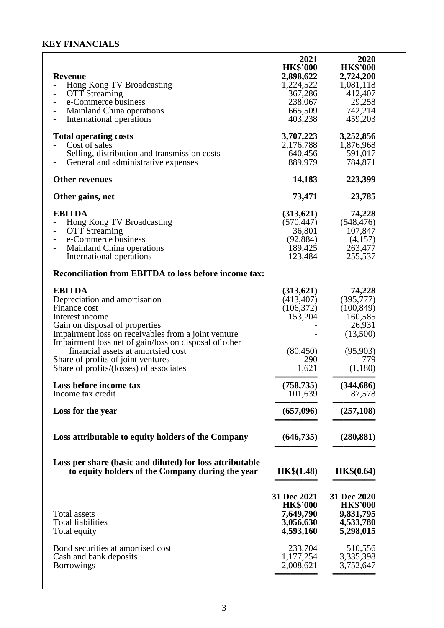## **KEY FINANCIALS**

| <b>Revenue</b><br>Hong Kong TV Broadcasting<br><b>OTT</b> Streaming<br>e-Commerce business<br><b>Mainland China operations</b><br>International operations                   | 2021<br><b>HK\$'000</b><br>2,898,622<br>1,224,522<br>367,286<br>238,067<br>665,509<br>403,238 | 2020<br><b>HK\$'000</b><br>2,724,200<br>1,081,118<br>412,407<br>29,258<br>742,214<br>459,203 |
|------------------------------------------------------------------------------------------------------------------------------------------------------------------------------|-----------------------------------------------------------------------------------------------|----------------------------------------------------------------------------------------------|
| <b>Total operating costs</b><br>Cost of sales<br>Selling, distribution and transmission costs<br>General and administrative expenses                                         | 3,707,223<br>2,176,788<br>640,456<br>889,979                                                  | 3,252,856<br>1,876,968<br>591,017<br>784,871                                                 |
| <b>Other revenues</b>                                                                                                                                                        | 14,183                                                                                        | 223,399                                                                                      |
| Other gains, net                                                                                                                                                             | 73,471                                                                                        | 23,785                                                                                       |
| <b>EBITDA</b><br>Hong Kong TV Broadcasting<br><b>OTT</b> Streaming<br>-<br>e-Commerce business<br><b>Mainland China operations</b><br>International operations               | (313,621)<br>(570, 447)<br>36,801<br>(92, 884)<br>189,425<br>123,484                          | 74,228<br>(548, 476)<br>107,847<br>(4,157)<br>263,477<br>255,537                             |
| <b>Reconciliation from EBITDA to loss before income tax:</b>                                                                                                                 |                                                                                               |                                                                                              |
| <b>EBITDA</b><br>Depreciation and amortisation<br>Finance cost<br>Interest income<br>Gain on disposal of properties<br>Impairment loss on receivables from a joint venture   | (313,621)<br>(413, 407)<br>(106, 372)<br>153,204                                              | 74,228<br>(395, 777)<br>(100, 849)<br>160,585<br>26,931<br>(13,500)                          |
| Impairment loss net of gain/loss on disposal of other<br>financial assets at amortsied cost<br>Share of profits of joint ventures<br>Share of profits/(losses) of associates | (80, 450)<br>290<br>1,621                                                                     | (95,903)<br>779<br>(1,180)                                                                   |
| Loss before income tax<br>Income tax credit                                                                                                                                  | (758, 735)<br>101,639                                                                         | (344, 686)<br>87,578                                                                         |
| Loss for the year                                                                                                                                                            | (657,096)                                                                                     | (257, 108)                                                                                   |
| Loss attributable to equity holders of the Company                                                                                                                           | (646, 735)                                                                                    | (280, 881)                                                                                   |
| Loss per share (basic and diluted) for loss attributable<br>to equity holders of the Company during the year                                                                 | <b>HK\$(1.48)</b>                                                                             | HK\$(0.64)                                                                                   |
| Total assets<br><b>Total liabilities</b><br>Total equity                                                                                                                     | 31 Dec 2021<br><b>HK\$'000</b><br>7,649,790<br>3,056,630<br>4,593,160                         | 31 Dec 2020<br><b>HK\$'000</b><br>9,831,795<br>4,533,780<br>5,298,015                        |
| Bond securities at amortised cost<br>Cash and bank deposits<br><b>Borrowings</b>                                                                                             | 233,704<br>1,177,254<br>2,008,621                                                             | 510,556<br>3,335,398<br>3,752,647                                                            |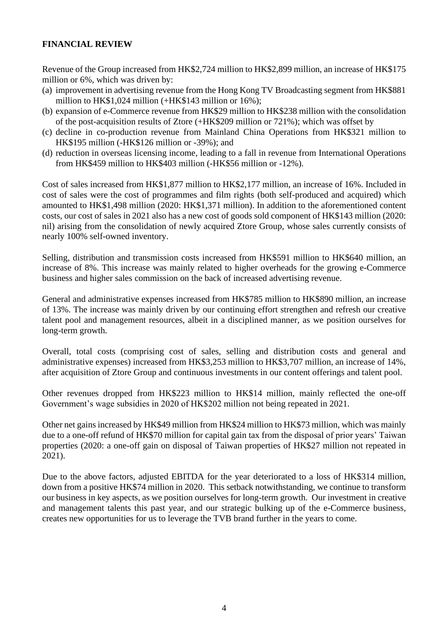## **FINANCIAL REVIEW**

Revenue of the Group increased from HK\$2,724 million to HK\$2,899 million, an increase of HK\$175 million or 6%, which was driven by:

- (a) improvement in advertising revenue from the Hong Kong TV Broadcasting segment from HK\$881 million to HK\$1,024 million (+HK\$143 million or 16%);
- (b) expansion of e-Commerce revenue from HK\$29 million to HK\$238 million with the consolidation of the post-acquisition results of Ztore (+HK\$209 million or 721%); which was offset by
- (c) decline in co-production revenue from Mainland China Operations from HK\$321 million to HK\$195 million (-HK\$126 million or -39%); and
- (d) reduction in overseas licensing income, leading to a fall in revenue from International Operations from HK\$459 million to HK\$403 million (-HK\$56 million or -12%).

Cost of sales increased from HK\$1,877 million to HK\$2,177 million, an increase of 16%. Included in cost of sales were the cost of programmes and film rights (both self-produced and acquired) which amounted to HK\$1,498 million (2020: HK\$1,371 million). In addition to the aforementioned content costs, our cost of sales in 2021 also has a new cost of goods sold component of HK\$143 million (2020: nil) arising from the consolidation of newly acquired Ztore Group, whose sales currently consists of nearly 100% self-owned inventory.

Selling, distribution and transmission costs increased from HK\$591 million to HK\$640 million, an increase of 8%. This increase was mainly related to higher overheads for the growing e-Commerce business and higher sales commission on the back of increased advertising revenue.

General and administrative expenses increased from HK\$785 million to HK\$890 million, an increase of 13%. The increase was mainly driven by our continuing effort strengthen and refresh our creative talent pool and management resources, albeit in a disciplined manner, as we position ourselves for long-term growth.

Overall, total costs (comprising cost of sales, selling and distribution costs and general and administrative expenses) increased from HK\$3,253 million to HK\$3,707 million, an increase of 14%, after acquisition of Ztore Group and continuous investments in our content offerings and talent pool.

Other revenues dropped from HK\$223 million to HK\$14 million, mainly reflected the one-off Government's wage subsidies in 2020 of HK\$202 million not being repeated in 2021.

Other net gains increased by HK\$49 million from HK\$24 million to HK\$73 million, which was mainly due to a one-off refund of HK\$70 million for capital gain tax from the disposal of prior years' Taiwan properties (2020: a one-off gain on disposal of Taiwan properties of HK\$27 million not repeated in 2021).

Due to the above factors, adjusted EBITDA for the year deteriorated to a loss of HK\$314 million, down from a positive HK\$74 million in 2020. This setback notwithstanding, we continue to transform our business in key aspects, as we position ourselves for long-term growth. Our investment in creative and management talents this past year, and our strategic bulking up of the e-Commerce business, creates new opportunities for us to leverage the TVB brand further in the years to come.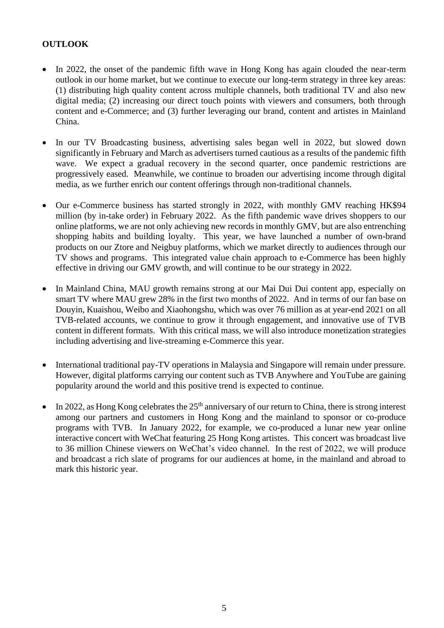## **OUTLOOK**

- In 2022, the onset of the pandemic fifth wave in Hong Kong has again clouded the near-term outlook in our home market, but we continue to execute our long-term strategy in three key areas: (1) distributing high quality content across multiple channels, both traditional TV and also new digital media; (2) increasing our direct touch points with viewers and consumers, both through content and e-Commerce; and (3) further leveraging our brand, content and artistes in Mainland China.
- In our TV Broadcasting business, advertising sales began well in 2022, but slowed down significantly in February and March as advertisers turned cautious as a results of the pandemic fifth wave. We expect a gradual recovery in the second quarter, once pandemic restrictions are progressively eased. Meanwhile, we continue to broaden our advertising income through digital media, as we further enrich our content offerings through non-traditional channels.
- Our e-Commerce business has started strongly in 2022, with monthly GMV reaching HK\$94 million (by in-take order) in February 2022. As the fifth pandemic wave drives shoppers to our online platforms, we are not only achieving new records in monthly GMV, but are also entrenching shopping habits and building loyalty. This year, we have launched a number of own-brand products on our Ztore and Neigbuy platforms, which we market directly to audiences through our TV shows and programs. This integrated value chain approach to e-Commerce has been highly effective in driving our GMV growth, and will continue to be our strategy in 2022.
- In Mainland China, MAU growth remains strong at our Mai Dui Dui content app, especially on smart TV where MAU grew 28% in the first two months of 2022. And in terms of our fan base on Douyin, Kuaishou, Weibo and Xiaohongshu, which was over 76 million as at year-end 2021 on all TVB-related accounts, we continue to grow it through engagement, and innovative use of TVB content in different formats. With this critical mass, we will also introduce monetization strategies including advertising and live-streaming e-Commerce this year.
- International traditional pay-TV operations in Malaysia and Singapore will remain under pressure. However, digital platforms carrying our content such as TVB Anywhere and YouTube are gaining popularity around the world and this positive trend is expected to continue.
- In 2022, as Hong Kong celebrates the  $25<sup>th</sup>$  anniversary of our return to China, there is strong interest among our partners and customers in Hong Kong and the mainland to sponsor or co-produce programs with TVB. In January 2022, for example, we co-produced a lunar new year online interactive concert with WeChat featuring 25 Hong Kong artistes. This concert was broadcast live to 36 million Chinese viewers on WeChat's video channel. In the rest of 2022, we will produce and broadcast a rich slate of programs for our audiences at home, in the mainland and abroad to mark this historic year.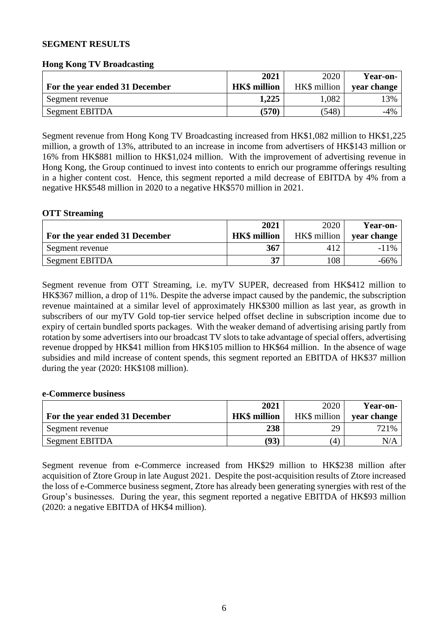#### **SEGMENT RESULTS**

#### **Hong Kong TV Broadcasting**

|                                | 2021                | 2020         | Year-on-    |
|--------------------------------|---------------------|--------------|-------------|
| For the year ended 31 December | <b>HK\$</b> million | HK\$ million | year change |
| Segment revenue                | 1,225               | 1,082        | 3%          |
| Segment EBITDA                 | (570)               | (548)        | $-4%$       |

Segment revenue from Hong Kong TV Broadcasting increased from HK\$1,082 million to HK\$1,225 million, a growth of 13%, attributed to an increase in income from advertisers of HK\$143 million or 16% from HK\$881 million to HK\$1,024 million. With the improvement of advertising revenue in Hong Kong, the Group continued to invest into contents to enrich our programme offerings resulting in a higher content cost. Hence, this segment reported a mild decrease of EBITDA by 4% from a negative HK\$548 million in 2020 to a negative HK\$570 million in 2021.

#### **OTT Streaming**

|                                | 2021                | 2020         | Year-on-    |
|--------------------------------|---------------------|--------------|-------------|
| For the year ended 31 December | <b>HK\$</b> million | HK\$ million | year change |
| Segment revenue                | 367                 | 412          | $-11\%$     |
| Segment EBITDA                 | 37                  | 108          | $-66\%$     |

Segment revenue from OTT Streaming, i.e. myTV SUPER, decreased from HK\$412 million to HK\$367 million, a drop of 11%. Despite the adverse impact caused by the pandemic, the subscription revenue maintained at a similar level of approximately HK\$300 million as last year, as growth in subscribers of our myTV Gold top-tier service helped offset decline in subscription income due to expiry of certain bundled sports packages. With the weaker demand of advertising arising partly from rotation by some advertisers into our broadcast TV slots to take advantage of special offers, advertising revenue dropped by HK\$41 million from HK\$105 million to HK\$64 million. In the absence of wage subsidies and mild increase of content spends, this segment reported an EBITDA of HK\$37 million during the year (2020: HK\$108 million).

#### **e-Commerce business**

| For the year ended 31 December | 2021<br><b>HK\$</b> million | 2020<br>HK\$ million | <b>Year-on-</b><br>year change |
|--------------------------------|-----------------------------|----------------------|--------------------------------|
| Segment revenue                | 238                         | 29                   | 721%                           |
| Segment EBITDA                 | (93)                        | $\left( 4\right)$    | N/A                            |

Segment revenue from e-Commerce increased from HK\$29 million to HK\$238 million after acquisition of Ztore Group in late August 2021. Despite the post-acquisition results of Ztore increased the loss of e-Commerce business segment, Ztore has already been generating synergies with rest of the Group's businesses. During the year, this segment reported a negative EBITDA of HK\$93 million (2020: a negative EBITDA of HK\$4 million).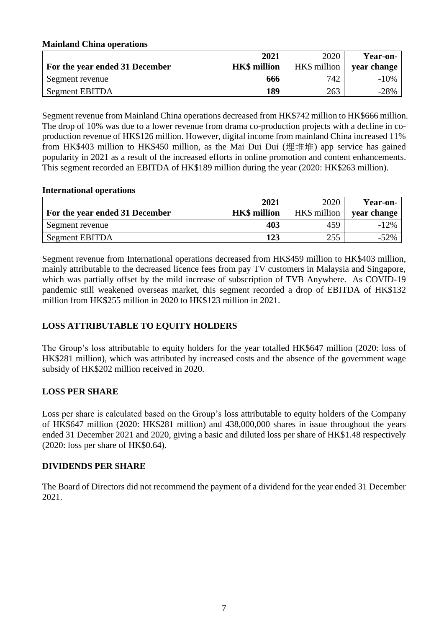## **Mainland China operations**

|                                | 2021                | 2020         | Year-on-    |
|--------------------------------|---------------------|--------------|-------------|
| For the year ended 31 December | <b>HK\$</b> million | HK\$ million | vear change |
| Segment revenue                | 666                 | 742          | $-10\%$     |
| Segment EBITDA                 | 189                 | 263          | $-28%$      |

Segment revenue from Mainland China operations decreased from HK\$742 million to HK\$666 million. The drop of 10% was due to a lower revenue from drama co-production projects with a decline in coproduction revenue of HK\$126 million. However, digital income from mainland China increased 11% from HK\$403 million to HK\$450 million, as the Mai Dui Dui (埋堆堆) app service has gained popularity in 2021 as a result of the increased efforts in online promotion and content enhancements. This segment recorded an EBITDA of HK\$189 million during the year (2020: HK\$263 million).

#### **International operations**

|                                | 2021                | 2020         | <b>Year-on-</b> |
|--------------------------------|---------------------|--------------|-----------------|
| For the year ended 31 December | <b>HK\$</b> million | HK\$ million | vear change     |
| Segment revenue                | 403                 | 459          | $-12\%$         |
| Segment EBITDA                 | 123                 | 255          | $-52\%$         |

Segment revenue from International operations decreased from HK\$459 million to HK\$403 million, mainly attributable to the decreased licence fees from pay TV customers in Malaysia and Singapore, which was partially offset by the mild increase of subscription of TVB Anywhere. As COVID-19 pandemic still weakened overseas market, this segment recorded a drop of EBITDA of HK\$132 million from HK\$255 million in 2020 to HK\$123 million in 2021.

## **LOSS ATTRIBUTABLE TO EQUITY HOLDERS**

The Group's loss attributable to equity holders for the year totalled HK\$647 million (2020: loss of HK\$281 million), which was attributed by increased costs and the absence of the government wage subsidy of HK\$202 million received in 2020.

## **LOSS PER SHARE**

Loss per share is calculated based on the Group's loss attributable to equity holders of the Company of HK\$647 million (2020: HK\$281 million) and 438,000,000 shares in issue throughout the years ended 31 December 2021 and 2020, giving a basic and diluted loss per share of HK\$1.48 respectively (2020: loss per share of HK\$0.64).

## **DIVIDENDS PER SHARE**

The Board of Directors did not recommend the payment of a dividend for the year ended 31 December 2021.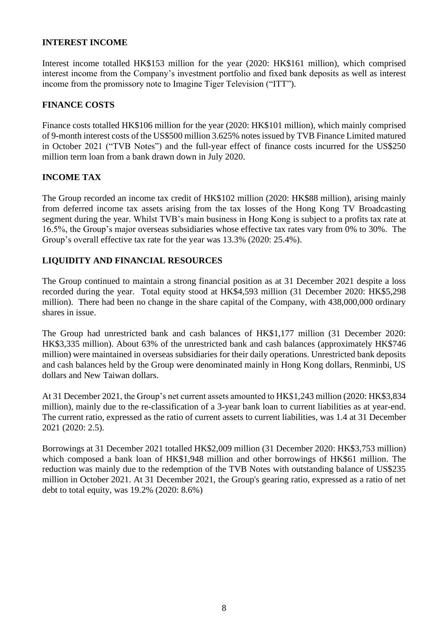#### **INTEREST INCOME**

Interest income totalled HK\$153 million for the year (2020: HK\$161 million), which comprised interest income from the Company's investment portfolio and fixed bank deposits as well as interest income from the promissory note to Imagine Tiger Television ("ITT").

## **FINANCE COSTS**

Finance costs totalled HK\$106 million for the year (2020: HK\$101 million), which mainly comprised of 9-month interest costs of the US\$500 million 3.625% notes issued by TVB Finance Limited matured in October 2021 ("TVB Notes") and the full-year effect of finance costs incurred for the US\$250 million term loan from a bank drawn down in July 2020.

## **INCOME TAX**

The Group recorded an income tax credit of HK\$102 million (2020: HK\$88 million), arising mainly from deferred income tax assets arising from the tax losses of the Hong Kong TV Broadcasting segment during the year. Whilst TVB's main business in Hong Kong is subject to a profits tax rate at 16.5%, the Group's major overseas subsidiaries whose effective tax rates vary from 0% to 30%. The Group's overall effective tax rate for the year was 13.3% (2020: 25.4%).

## **LIQUIDITY AND FINANCIAL RESOURCES**

The Group continued to maintain a strong financial position as at 31 December 2021 despite a loss recorded during the year. Total equity stood at HK\$4,593 million (31 December 2020: HK\$5,298 million). There had been no change in the share capital of the Company, with 438,000,000 ordinary shares in issue.

The Group had unrestricted bank and cash balances of HK\$1,177 million (31 December 2020: HK\$3,335 million). About 63% of the unrestricted bank and cash balances (approximately HK\$746 million) were maintained in overseas subsidiaries for their daily operations. Unrestricted bank deposits and cash balances held by the Group were denominated mainly in Hong Kong dollars, Renminbi, US dollars and New Taiwan dollars.

At 31 December 2021, the Group's net current assets amounted to HK\$1,243 million (2020: HK\$3,834 million), mainly due to the re-classification of a 3-year bank loan to current liabilities as at year-end. The current ratio, expressed as the ratio of current assets to current liabilities, was 1.4 at 31 December 2021 (2020: 2.5).

Borrowings at 31 December 2021 totalled HK\$2,009 million (31 December 2020: HK\$3,753 million) which composed a bank loan of HK\$1,948 million and other borrowings of HK\$61 million. The reduction was mainly due to the redemption of the TVB Notes with outstanding balance of US\$235 million in October 2021. At 31 December 2021, the Group's gearing ratio, expressed as a ratio of net debt to total equity, was 19.2% (2020: 8.6%)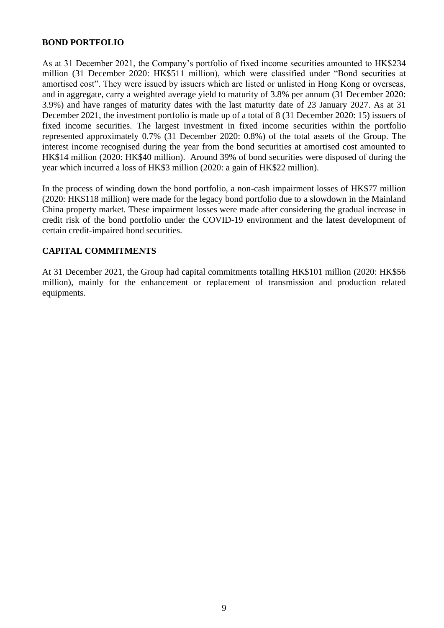#### **BOND PORTFOLIO**

As at 31 December 2021, the Company's portfolio of fixed income securities amounted to HK\$234 million (31 December 2020: HK\$511 million), which were classified under "Bond securities at amortised cost". They were issued by issuers which are listed or unlisted in Hong Kong or overseas, and in aggregate, carry a weighted average yield to maturity of 3.8% per annum (31 December 2020: 3.9%) and have ranges of maturity dates with the last maturity date of 23 January 2027. As at 31 December 2021, the investment portfolio is made up of a total of 8 (31 December 2020: 15) issuers of fixed income securities. The largest investment in fixed income securities within the portfolio represented approximately 0.7% (31 December 2020: 0.8%) of the total assets of the Group. The interest income recognised during the year from the bond securities at amortised cost amounted to HK\$14 million (2020: HK\$40 million). Around 39% of bond securities were disposed of during the year which incurred a loss of HK\$3 million (2020: a gain of HK\$22 million).

In the process of winding down the bond portfolio, a non-cash impairment losses of HK\$77 million (2020: HK\$118 million) were made for the legacy bond portfolio due to a slowdown in the Mainland China property market. These impairment losses were made after considering the gradual increase in credit risk of the bond portfolio under the COVID-19 environment and the latest development of certain credit-impaired bond securities.

#### **CAPITAL COMMITMENTS**

At 31 December 2021, the Group had capital commitments totalling HK\$101 million (2020: HK\$56 million), mainly for the enhancement or replacement of transmission and production related equipments.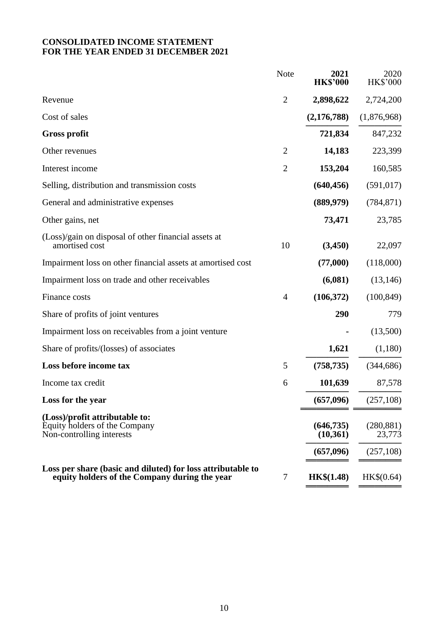## **CONSOLIDATED INCOME STATEMENT FOR THE YEAR ENDED 31 DECEMBER 2021**

|                                                                                                              | <b>Note</b>    | 2021<br><b>HK\$'000</b> | 2020<br><b>HK\$'000</b> |
|--------------------------------------------------------------------------------------------------------------|----------------|-------------------------|-------------------------|
| Revenue                                                                                                      | $\overline{2}$ | 2,898,622               | 2,724,200               |
| Cost of sales                                                                                                |                | (2,176,788)             | (1,876,968)             |
| <b>Gross profit</b>                                                                                          |                | 721,834                 | 847,232                 |
| Other revenues                                                                                               | $\overline{2}$ | 14,183                  | 223,399                 |
| Interest income                                                                                              | $\overline{2}$ | 153,204                 | 160,585                 |
| Selling, distribution and transmission costs                                                                 |                | (640, 456)              | (591, 017)              |
| General and administrative expenses                                                                          |                | (889, 979)              | (784, 871)              |
| Other gains, net                                                                                             |                | 73,471                  | 23,785                  |
| (Loss)/gain on disposal of other financial assets at<br>amortised cost                                       | 10             | (3, 450)                | 22,097                  |
| Impairment loss on other financial assets at amortised cost                                                  |                | (77,000)                | (118,000)               |
| Impairment loss on trade and other receivables                                                               |                | (6,081)                 | (13, 146)               |
| Finance costs                                                                                                | $\overline{4}$ | (106,372)               | (100, 849)              |
| Share of profits of joint ventures                                                                           |                | 290                     | 779                     |
| Impairment loss on receivables from a joint venture                                                          |                |                         | (13,500)                |
| Share of profits/(losses) of associates                                                                      |                | 1,621                   | (1,180)                 |
| Loss before income tax                                                                                       | 5              | (758, 735)              | (344, 686)              |
| Income tax credit                                                                                            | 6              | 101,639                 | 87,578                  |
| Loss for the year                                                                                            |                | (657,096)               | (257, 108)              |
| (Loss)/profit attributable to:<br>Equity holders of the Company<br>Non-controlling interests                 |                | (646, 735)<br>(10,361)  | (280, 881)<br>23,773    |
|                                                                                                              |                | (657,096)               | (257,108)               |
| Loss per share (basic and diluted) for loss attributable to<br>equity holders of the Company during the year | 7              | <b>HK\$(1.48)</b>       | HK\$(0.64)              |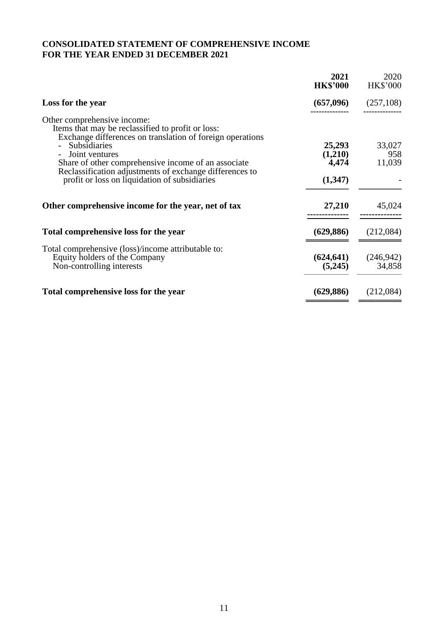## **CONSOLIDATED STATEMENT OF COMPREHENSIVE INCOME FOR THE YEAR ENDED 31 DECEMBER 2021**

|                                                                                                                                                                                                                                                                                                                                                           | 2021<br><b>HK\$'000</b>               | 2020<br><b>HK\$'000</b> |
|-----------------------------------------------------------------------------------------------------------------------------------------------------------------------------------------------------------------------------------------------------------------------------------------------------------------------------------------------------------|---------------------------------------|-------------------------|
| Loss for the year                                                                                                                                                                                                                                                                                                                                         | (657,096)                             | (257,108)               |
| Other comprehensive income:<br>Items that may be reclassified to profit or loss:<br>Exchange differences on translation of foreign operations<br><b>Subsidiaries</b><br>Joint ventures<br>Share of other comprehensive income of an associate<br>Reclassification adjustments of exchange differences to<br>profit or loss on liquidation of subsidiaries | 25,293<br>(1,210)<br>4,474<br>(1,347) | 33,027<br>958<br>11,039 |
| Other comprehensive income for the year, net of tax                                                                                                                                                                                                                                                                                                       | 27,210                                | 45,024                  |
| Total comprehensive loss for the year                                                                                                                                                                                                                                                                                                                     | (629, 886)                            | (212,084)               |
| Total comprehensive (loss)/income attributable to:<br>Equity holders of the Company<br>Non-controlling interests                                                                                                                                                                                                                                          | (624, 641)<br>(5,245)                 | (246, 942)<br>34,858    |
| Total comprehensive loss for the year                                                                                                                                                                                                                                                                                                                     | (629, 886)                            | (212,084)               |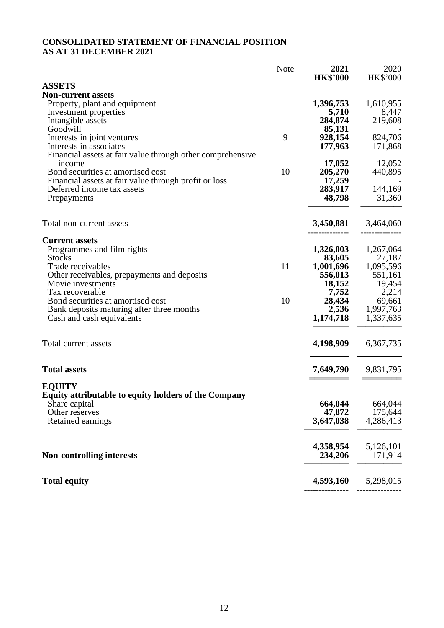## **CONSOLIDATED STATEMENT OF FINANCIAL POSITION AS AT 31 DECEMBER 2021**

|                                                            | <b>Note</b> | 2021<br><b>HK\$'000</b> | 2020<br><b>HK\$'000</b> |
|------------------------------------------------------------|-------------|-------------------------|-------------------------|
| <b>ASSETS</b>                                              |             |                         |                         |
| <b>Non-current assets</b>                                  |             |                         |                         |
| Property, plant and equipment                              |             | 1,396,753               | 1,610,955               |
| Investment properties                                      |             | 5,710                   | 8,447                   |
| Intangible assets                                          |             | 284,874                 | 219,608                 |
| Goodwill                                                   |             | 85,131                  |                         |
| Interests in joint ventures                                | 9           | 928,154                 | 824,706                 |
| Interests in associates                                    |             | 177,963                 | 171,868                 |
| Financial assets at fair value through other comprehensive |             |                         |                         |
| income                                                     |             | 17,052                  | 12,052                  |
| Bond securities at amortised cost                          | 10          | 205,270                 | 440,895                 |
| Financial assets at fair value through profit or loss      |             | 17,259                  |                         |
| Deferred income tax assets                                 |             | 283,917                 | 144,169                 |
| Prepayments                                                |             | 48,798                  | 31,360                  |
|                                                            |             |                         |                         |
| Total non-current assets                                   |             | 3,450,881               | 3,464,060               |
|                                                            |             |                         |                         |
| <b>Current assets</b>                                      |             |                         |                         |
| Programmes and film rights                                 |             | 1,326,003               | 1,267,064               |
| <b>Stocks</b>                                              |             | 83,605                  | 27,187                  |
| Trade receivables                                          | 11          | 1,001,696               | 1,095,596               |
| Other receivables, prepayments and deposits                |             | 556,013                 | 551,161                 |
| Movie investments                                          |             | 18,152                  | 19,454                  |
| Tax recoverable                                            |             | 7,752                   | 2,214                   |
| Bond securities at amortised cost                          | 10          | 28,434                  | 69,661                  |
| Bank deposits maturing after three months                  |             | 2,536                   | 1,997,763               |
| Cash and cash equivalents                                  |             | 1,174,718               | 1,337,635               |
|                                                            |             |                         |                         |
| Total current assets                                       |             | 4,198,909               | 6,367,735               |
|                                                            |             |                         |                         |
|                                                            |             |                         |                         |
| <b>Total assets</b>                                        |             | 7,649,790               | 9,831,795               |
| <b>EQUITY</b>                                              |             |                         |                         |
| Equity attributable to equity holders of the Company       |             |                         |                         |
| Share capital                                              |             | 664,044                 | 664,044                 |
| Other reserves                                             |             | 47,872                  | 175,644                 |
| Retained earnings                                          |             | 3,647,038               | 4,286,413               |
|                                                            |             |                         |                         |
|                                                            |             | 4,358,954               | 5,126,101               |
| <b>Non-controlling interests</b>                           |             | 234,206                 | 171,914                 |
| <b>Total equity</b>                                        |             | 4,593,160               | 5,298,015               |
|                                                            |             |                         |                         |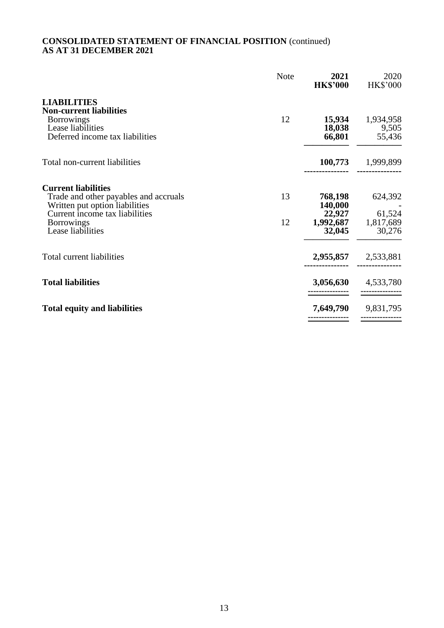#### **CONSOLIDATED STATEMENT OF FINANCIAL POSITION** (continued) **AS AT 31 DECEMBER 2021**

|                                                                           | <b>Note</b> | 2021<br><b>HK\$'000</b> | 2020<br><b>HK\$'000</b>             |
|---------------------------------------------------------------------------|-------------|-------------------------|-------------------------------------|
| <b>LIABILITIES</b><br><b>Non-current liabilities</b>                      |             |                         |                                     |
| <b>Borrowings</b><br>Lease liabilities<br>Deferred income tax liabilities | 12          | 15,934<br>66,801        | 1,934,958<br>18,038 9,505<br>55,436 |
| Total non-current liabilities                                             |             |                         | 100,773 1,999,899                   |
| <b>Current liabilities</b>                                                |             |                         |                                     |
| Trade and other payables and accruals<br>Written put option liabilities   | 13          | 768,198<br>140,000      | 624,392                             |
| Current income tax liabilities                                            |             | 22,927                  | 61,524                              |
| <b>Borrowings</b><br>Lease liabilities                                    | 12          | 32,045                  | 1,992,687 1,817,689<br>30,276       |
| Total current liabilities                                                 |             |                         | 2,955,857 2,533,881                 |
| <b>Total liabilities</b>                                                  |             | 3,056,630               | 4,533,780                           |
| <b>Total equity and liabilities</b>                                       |             | 7,649,790               | 9,831,795                           |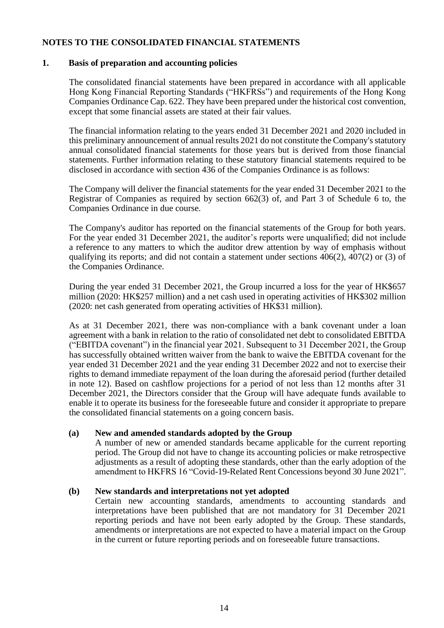#### **NOTES TO THE CONSOLIDATED FINANCIAL STATEMENTS**

#### **1. Basis of preparation and accounting policies**

The consolidated financial statements have been prepared in accordance with all applicable Hong Kong Financial Reporting Standards ("HKFRSs") and requirements of the Hong Kong Companies Ordinance Cap. 622. They have been prepared under the historical cost convention, except that some financial assets are stated at their fair values.

The financial information relating to the years ended 31 December 2021 and 2020 included in this preliminary announcement of annual results 2021 do not constitute the Company's statutory annual consolidated financial statements for those years but is derived from those financial statements. Further information relating to these statutory financial statements required to be disclosed in accordance with section 436 of the Companies Ordinance is as follows:

The Company will deliver the financial statements for the year ended 31 December 2021 to the Registrar of Companies as required by section 662(3) of, and Part 3 of Schedule 6 to, the Companies Ordinance in due course.

The Company's auditor has reported on the financial statements of the Group for both years. For the year ended 31 December 2021, the auditor's reports were unqualified; did not include a reference to any matters to which the auditor drew attention by way of emphasis without qualifying its reports; and did not contain a statement under sections 406(2), 407(2) or (3) of the Companies Ordinance.

During the year ended 31 December 2021, the Group incurred a loss for the year of HK\$657 million (2020: HK\$257 million) and a net cash used in operating activities of HK\$302 million (2020: net cash generated from operating activities of HK\$31 million).

As at 31 December 2021, there was non-compliance with a bank covenant under a loan agreement with a bank in relation to the ratio of consolidated net debt to consolidated EBITDA ("EBITDA covenant") in the financial year 2021. Subsequent to 31 December 2021, the Group has successfully obtained written waiver from the bank to waive the EBITDA covenant for the year ended 31 December 2021 and the year ending 31 December 2022 and not to exercise their rights to demand immediate repayment of the loan during the aforesaid period (further detailed in note 12). Based on cashflow projections for a period of not less than 12 months after 31 December 2021, the Directors consider that the Group will have adequate funds available to enable it to operate its business for the foreseeable future and consider it appropriate to prepare the consolidated financial statements on a going concern basis.

## **(a) New and amended standards adopted by the Group**

A number of new or amended standards became applicable for the current reporting period. The Group did not have to change its accounting policies or make retrospective adjustments as a result of adopting these standards, other than the early adoption of the amendment to HKFRS 16 "Covid-19-Related Rent Concessions beyond 30 June 2021".

#### **(b) New standards and interpretations not yet adopted**

Certain new accounting standards, amendments to accounting standards and interpretations have been published that are not mandatory for 31 December 2021 reporting periods and have not been early adopted by the Group. These standards, amendments or interpretations are not expected to have a material impact on the Group in the current or future reporting periods and on foreseeable future transactions.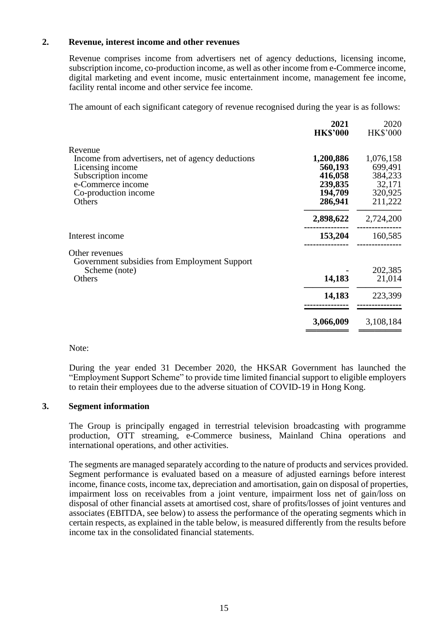#### **2. Revenue, interest income and other revenues**

Revenue comprises income from advertisers net of agency deductions, licensing income, subscription income, co-production income, as well as other income from e-Commerce income, digital marketing and event income, music entertainment income, management fee income, facility rental income and other service fee income.

The amount of each significant category of revenue recognised during the year is as follows:

|                                                                                                                                                                | 2021<br><b>HK\$'000</b>                                          | 2020<br><b>HK\$'000</b>                                         |
|----------------------------------------------------------------------------------------------------------------------------------------------------------------|------------------------------------------------------------------|-----------------------------------------------------------------|
| Revenue<br>Income from advertisers, net of agency deductions<br>Licensing income<br>Subscription income<br>e-Commerce income<br>Co-production income<br>Others | 1,200,886<br>560,193<br>416,058<br>239,835<br>194,709<br>286,941 | 1,076,158<br>699,491<br>384,233<br>32,171<br>320,925<br>211,222 |
|                                                                                                                                                                | 2,898,622                                                        | 2,724,200                                                       |
| Interest income                                                                                                                                                | 153,204                                                          | 160,585                                                         |
| Other revenues<br>Government subsidies from Employment Support<br>Scheme (note)<br>Others                                                                      | 14,183                                                           | 202,385<br>21,014                                               |
|                                                                                                                                                                | 14,183                                                           | 223,399                                                         |
|                                                                                                                                                                | 3,066,009                                                        | 3,108,184                                                       |
|                                                                                                                                                                |                                                                  |                                                                 |

Note:

During the year ended 31 December 2020, the HKSAR Government has launched the "Employment Support Scheme" to provide time limited financial support to eligible employers to retain their employees due to the adverse situation of COVID-19 in Hong Kong.

#### **3. Segment information**

The Group is principally engaged in terrestrial television broadcasting with programme production, OTT streaming, e-Commerce business, Mainland China operations and international operations, and other activities.

The segments are managed separately according to the nature of products and services provided. Segment performance is evaluated based on a measure of adjusted earnings before interest income, finance costs, income tax, depreciation and amortisation, gain on disposal of properties, impairment loss on receivables from a joint venture, impairment loss net of gain/loss on disposal of other financial assets at amortised cost, share of profits/losses of joint ventures and associates (EBITDA, see below) to assess the performance of the operating segments which in certain respects, as explained in the table below, is measured differently from the results before income tax in the consolidated financial statements.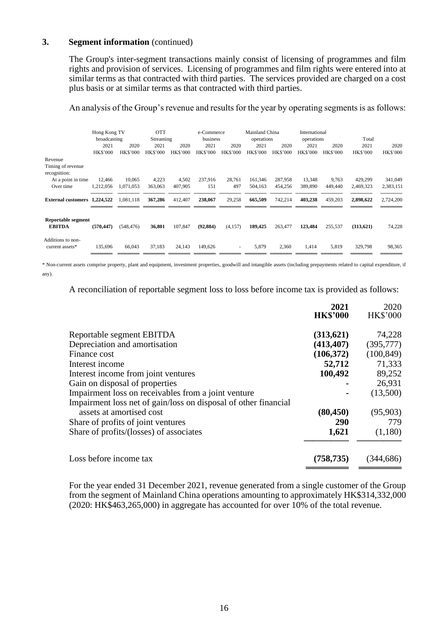#### **3. Segment information** (continued)

The Group's inter-segment transactions mainly consist of licensing of programmes and film rights and provision of services. Licensing of programmes and film rights were entered into at similar terms as that contracted with third parties. The services provided are charged on a cost plus basis or at similar terms as that contracted with third parties.

An analysis of the Group's revenue and results for the year by operating segments is as follows:

|                                      | Hong Kong TV<br>broadcasting |                 | <b>OTT</b><br>Streaming |                 | e-Commerce<br>business |                 | Mainland China<br>operations |                 | International<br>operations |                 | Total           |                 |
|--------------------------------------|------------------------------|-----------------|-------------------------|-----------------|------------------------|-----------------|------------------------------|-----------------|-----------------------------|-----------------|-----------------|-----------------|
|                                      | 2021                         | 2020            | 2021                    | 2020            | 2021                   | 2020            | 2021                         | 2020            | 2021                        | 2020            | 2021            | 2020            |
|                                      | <b>HK\$'000</b>              | <b>HK\$'000</b> | <b>HK\$'000</b>         | <b>HK\$'000</b> | <b>HK\$'000</b>        | <b>HK\$'000</b> | <b>HK\$'000</b>              | <b>HK\$'000</b> | <b>HK\$'000</b>             | <b>HK\$'000</b> | <b>HK\$'000</b> | <b>HK\$'000</b> |
| Revenue                              |                              |                 |                         |                 |                        |                 |                              |                 |                             |                 |                 |                 |
| Timing of revenue<br>recognition:    |                              |                 |                         |                 |                        |                 |                              |                 |                             |                 |                 |                 |
| At a point in time                   | 12,466                       | 10,065          | 4,223                   | 4,502           | 237,916                | 28,761          | 161,346                      | 287,958         | 13,348                      | 9,763           | 429,299         | 341,049         |
| Over time                            | 1,212,056                    | 1,071,053       | 363,063                 | 407,905         | 151                    | 497             | 504,163                      | 454,256         | 389,890                     | 449,440         | 2,469,323       | 2,383,151       |
| <b>External customers</b>            | 1,224,522                    | 1,081,118       | 367,286                 | 412,407         | 238,067                | 29,258          | 665,509                      | 742,214         | 403,238                     | 459,203         | 2,898,622       | 2,724,200       |
| Reportable segment<br><b>EBITDA</b>  | (570, 447)                   | (548, 476)      | 36,801                  | 107,847         | (92, 884)              | (4,157)         | 189,425                      | 263,477         | 123,484                     | 255,537         | (313,621)       | 74,228          |
| Additions to non-<br>current assets* | 135,696                      | 66,043          | 37,183                  | 24,143          | 149,626                | $\sim$          | 5,879                        | 2,360           | 1,414                       | 5,819           | 329,798         | 98,365          |

\* Non-current assets comprise property, plant and equipment, investment properties, goodwill and intangible assets (including prepayments related to capital expenditure, if any).

A reconciliation of reportable segment loss to loss before income tax is provided as follows:

|                                                                 | 2021            | 2020            |
|-----------------------------------------------------------------|-----------------|-----------------|
|                                                                 | <b>HK\$'000</b> | <b>HK\$'000</b> |
| Reportable segment EBITDA                                       | (313,621)       | 74,228          |
| Depreciation and amortisation                                   | (413, 407)      | (395,777)       |
| Finance cost                                                    | (106, 372)      | (100, 849)      |
| Interest income                                                 | 52,712          | 71,333          |
| Interest income from joint ventures                             | 100,492         | 89,252          |
| Gain on disposal of properties                                  |                 | 26,931          |
| Impairment loss on receivables from a joint venture             |                 | (13,500)        |
| Impairment loss net of gain/loss on disposal of other financial |                 |                 |
| assets at amortised cost                                        | (80, 450)       | (95,903)        |
| Share of profits of joint ventures                              | 290             | 779             |
| Share of profits/(losses) of associates                         | 1,621           | (1,180)         |
| Loss before income tax                                          | (758, 735)      | (344,686)       |
|                                                                 |                 |                 |

For the year ended 31 December 2021, revenue generated from a single customer of the Group from the segment of Mainland China operations amounting to approximately HK\$314,332,000 (2020: HK\$463,265,000) in aggregate has accounted for over 10% of the total revenue.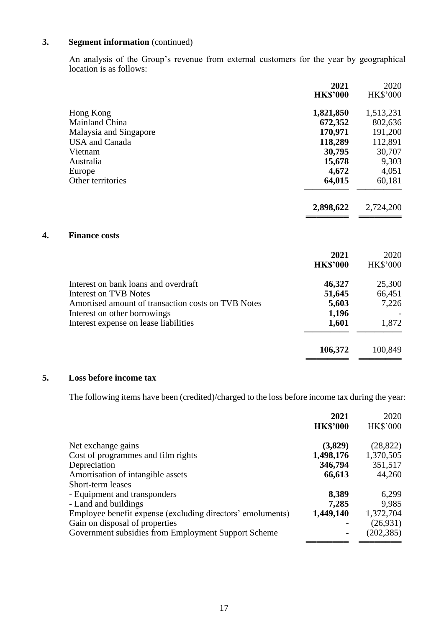## **3. Segment information** (continued)

An analysis of the Group's revenue from external customers for the year by geographical location is as follows:

|                                                    | 2021<br><b>HK\$'000</b> | 2020<br><b>HK\$'000</b> |
|----------------------------------------------------|-------------------------|-------------------------|
| Hong Kong                                          | 1,821,850               | 1,513,231               |
| Mainland China                                     | 672,352                 | 802,636                 |
| Malaysia and Singapore                             | 170,971                 | 191,200                 |
| <b>USA</b> and Canada                              | 118,289                 | 112,891                 |
| Vietnam                                            | 30,795                  | 30,707                  |
| Australia                                          | 15,678                  | 9,303                   |
| Europe                                             | 4,672                   | 4,051                   |
| Other territories                                  | 64,015                  | 60,181                  |
|                                                    | 2,898,622               | 2,724,200               |
| <b>Finance costs</b>                               |                         |                         |
|                                                    | 2021                    | 2020                    |
|                                                    | <b>HK\$'000</b>         | <b>HK\$'000</b>         |
| Interest on bank loans and overdraft               | 46,327                  | 25,300                  |
| <b>Interest on TVB Notes</b>                       | 51,645                  | 66,451                  |
| Amortised amount of transaction costs on TVB Notes | 5,603                   | 7,226                   |
| Interest on other borrowings                       | 1,196                   |                         |
| Interest expense on lease liabilities              | 1,601                   | 1,872                   |
|                                                    |                         |                         |

#### **5. Loss before income tax**

**4. Finance costs**

The following items have been (credited)/charged to the loss before income tax during the year:

**106,372** 100,849 **════════ ════════**

|                                                            | 2021            | 2020            |
|------------------------------------------------------------|-----------------|-----------------|
|                                                            | <b>HK\$'000</b> | <b>HK\$'000</b> |
| Net exchange gains                                         | (3,829)         | (28, 822)       |
| Cost of programmes and film rights                         | 1,498,176       | 1,370,505       |
| Depreciation                                               | 346,794         | 351,517         |
| Amortisation of intangible assets                          | 66,613          | 44,260          |
| Short-term leases                                          |                 |                 |
| - Equipment and transponders                               | 8,389           | 6,299           |
| - Land and buildings                                       | 7,285           | 9,985           |
| Employee benefit expense (excluding directors' emoluments) | 1,449,140       | 1,372,704       |
| Gain on disposal of properties                             |                 | (26,931)        |
| Government subsidies from Employment Support Scheme        | $\blacksquare$  | (202, 385)      |
|                                                            |                 |                 |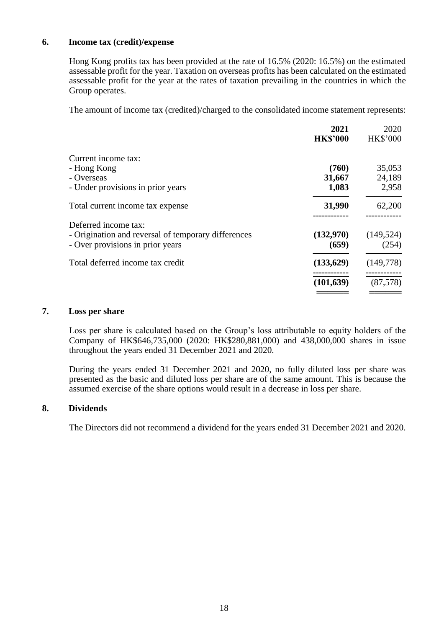#### **6. Income tax (credit)/expense**

Hong Kong profits tax has been provided at the rate of 16.5% (2020: 16.5%) on the estimated assessable profit for the year. Taxation on overseas profits has been calculated on the estimated assessable profit for the year at the rates of taxation prevailing in the countries in which the Group operates.

The amount of income tax (credited)/charged to the consolidated income statement represents:

|                                                     | 2021            | 2020            |
|-----------------------------------------------------|-----------------|-----------------|
|                                                     | <b>HK\$'000</b> | <b>HK\$'000</b> |
| Current income tax:                                 |                 |                 |
| - Hong Kong                                         | (760)           | 35,053          |
| - Overseas                                          | 31,667          | 24,189          |
| - Under provisions in prior years                   | 1,083           | 2,958           |
| Total current income tax expense                    | 31,990          | 62,200          |
| Deferred income tax:                                |                 |                 |
| - Origination and reversal of temporary differences | (132,970)       | (149, 524)      |
| - Over provisions in prior years                    | (659)           | (254)           |
| Total deferred income tax credit                    | (133,629)       | (149,778)       |
|                                                     | (101, 639)      | (87,578)        |
|                                                     |                 |                 |

#### **7. Loss per share**

Loss per share is calculated based on the Group's loss attributable to equity holders of the Company of HK\$646,735,000 (2020: HK\$280,881,000) and 438,000,000 shares in issue throughout the years ended 31 December 2021 and 2020.

During the years ended 31 December 2021 and 2020, no fully diluted loss per share was presented as the basic and diluted loss per share are of the same amount. This is because the assumed exercise of the share options would result in a decrease in loss per share.

## **8. Dividends**

The Directors did not recommend a dividend for the years ended 31 December 2021 and 2020.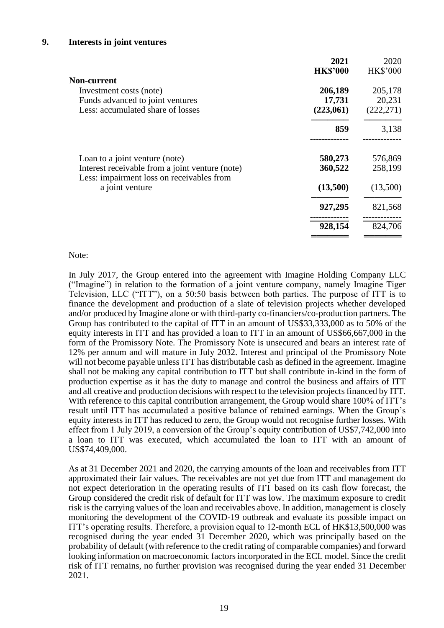|                                                                                                                 | 2021                           | 2020                            |
|-----------------------------------------------------------------------------------------------------------------|--------------------------------|---------------------------------|
|                                                                                                                 | <b>HK\$'000</b>                | <b>HK\$'000</b>                 |
| Non-current<br>Investment costs (note)<br>Funds advanced to joint ventures<br>Less: accumulated share of losses | 206,189<br>17,731<br>(223,061) | 205,178<br>20,231<br>(222, 271) |
|                                                                                                                 | 859                            | 3,138                           |
| Loan to a joint venture (note)                                                                                  | 580,273                        | 576,869                         |
| Interest receivable from a joint venture (note)<br>Less: impairment loss on receivables from                    | 360,522                        | 258,199                         |
| a joint venture                                                                                                 | (13,500)                       | (13,500)                        |
|                                                                                                                 | 927,295                        | 821,568                         |
|                                                                                                                 | 928,154                        | 824,706                         |
|                                                                                                                 |                                |                                 |

Note:

In July 2017, the Group entered into the agreement with Imagine Holding Company LLC ("Imagine") in relation to the formation of a joint venture company, namely Imagine Tiger Television, LLC ("ITT"), on a 50:50 basis between both parties. The purpose of ITT is to finance the development and production of a slate of television projects whether developed and/or produced by Imagine alone or with third-party co-financiers/co-production partners. The Group has contributed to the capital of ITT in an amount of US\$33,333,000 as to 50% of the equity interests in ITT and has provided a loan to ITT in an amount of US\$66,667,000 in the form of the Promissory Note. The Promissory Note is unsecured and bears an interest rate of 12% per annum and will mature in July 2032. Interest and principal of the Promissory Note will not become payable unless ITT has distributable cash as defined in the agreement. Imagine shall not be making any capital contribution to ITT but shall contribute in-kind in the form of production expertise as it has the duty to manage and control the business and affairs of ITT and all creative and production decisions with respect to the television projects financed by ITT. With reference to this capital contribution arrangement, the Group would share 100% of ITT's result until ITT has accumulated a positive balance of retained earnings. When the Group's equity interests in ITT has reduced to zero, the Group would not recognise further losses. With effect from 1 July 2019, a conversion of the Group's equity contribution of US\$7,742,000 into a loan to ITT was executed, which accumulated the loan to ITT with an amount of US\$74,409,000.

As at 31 December 2021 and 2020, the carrying amounts of the loan and receivables from ITT approximated their fair values. The receivables are not yet due from ITT and management do not expect deterioration in the operating results of ITT based on its cash flow forecast, the Group considered the credit risk of default for ITT was low. The maximum exposure to credit risk is the carrying values of the loan and receivables above. In addition, management is closely monitoring the development of the COVID-19 outbreak and evaluate its possible impact on ITT's operating results. Therefore, a provision equal to 12-month ECL of HK\$13,500,000 was recognised during the year ended 31 December 2020, which was principally based on the probability of default (with reference to the credit rating of comparable companies) and forward looking information on macroeconomic factors incorporated in the ECL model. Since the credit risk of ITT remains, no further provision was recognised during the year ended 31 December 2021.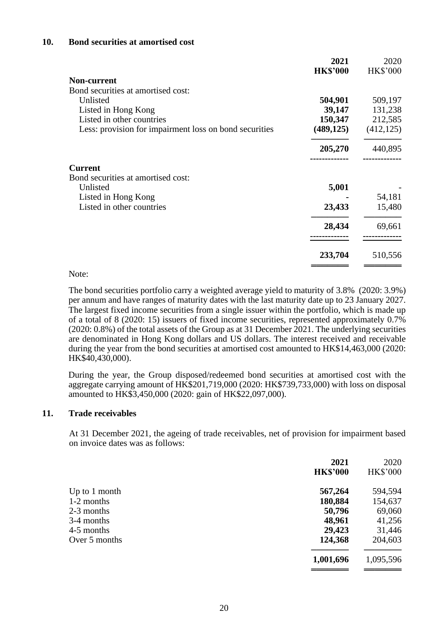#### **10. Bond securities at amortised cost**

|                                                        | 2021<br><b>HK\$'000</b> | 2020<br><b>HK\$'000</b> |
|--------------------------------------------------------|-------------------------|-------------------------|
| Non-current                                            |                         |                         |
| Bond securities at amortised cost:                     |                         |                         |
| Unlisted                                               | 504,901                 | 509,197                 |
| Listed in Hong Kong                                    | 39,147                  | 131,238                 |
| Listed in other countries                              | 150,347                 | 212,585                 |
| Less: provision for impairment loss on bond securities | (489, 125)              | (412, 125)              |
|                                                        | 205,270                 | 440,895                 |
| <b>Current</b>                                         |                         |                         |
| Bond securities at amortised cost:                     |                         |                         |
| Unlisted                                               | 5,001                   |                         |
| Listed in Hong Kong                                    |                         | 54,181                  |
| Listed in other countries                              | 23,433                  | 15,480                  |
|                                                        | 28,434                  | 69,661                  |
|                                                        |                         | 510,556                 |
|                                                        | 233,704                 |                         |

#### Note:

The bond securities portfolio carry a weighted average yield to maturity of 3.8% (2020: 3.9%) per annum and have ranges of maturity dates with the last maturity date up to 23 January 2027. The largest fixed income securities from a single issuer within the portfolio, which is made up of a total of 8 (2020: 15) issuers of fixed income securities, represented approximately 0.7% (2020: 0.8%) of the total assets of the Group as at 31 December 2021. The underlying securities are denominated in Hong Kong dollars and US dollars. The interest received and receivable during the year from the bond securities at amortised cost amounted to HK\$14,463,000 (2020: HK\$40,430,000).

During the year, the Group disposed/redeemed bond securities at amortised cost with the aggregate carrying amount of HK\$201,719,000 (2020: HK\$739,733,000) with loss on disposal amounted to HK\$3,450,000 (2020: gain of HK\$22,097,000).

#### **11. Trade receivables**

At 31 December 2021, the ageing of trade receivables, net of provision for impairment based on invoice dates was as follows:

| 2021<br><b>HK\$'000</b> | 2020<br>HK\$'000 |
|-------------------------|------------------|
| 567,264                 | 594,594          |
| 180,884                 | 154,637          |
| 50,796                  | 69,060           |
| 48,961                  | 41,256           |
| 29,423                  | 31,446           |
| 124,368                 | 204,603          |
| 1,001,696               | 1,095,596        |
|                         |                  |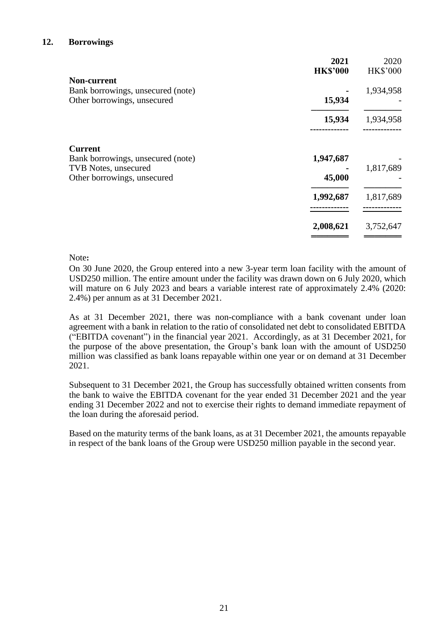#### **12. Borrowings**

|                                   | 2021<br><b>HK\$'000</b> | 2020<br><b>HK\$'000</b> |
|-----------------------------------|-------------------------|-------------------------|
| <b>Non-current</b>                |                         |                         |
| Bank borrowings, unsecured (note) |                         | 1,934,958               |
| Other borrowings, unsecured       | 15,934                  |                         |
|                                   | 15,934                  | 1,934,958               |
| <b>Current</b>                    |                         |                         |
| Bank borrowings, unsecured (note) | 1,947,687               |                         |
| TVB Notes, unsecured              |                         | 1,817,689               |
| Other borrowings, unsecured       | 45,000                  |                         |
|                                   | 1,992,687               | 1,817,689               |
|                                   | 2,008,621               | 3,752,647               |
|                                   |                         |                         |

#### Note**:**

On 30 June 2020, the Group entered into a new 3-year term loan facility with the amount of USD250 million. The entire amount under the facility was drawn down on 6 July 2020, which will mature on 6 July 2023 and bears a variable interest rate of approximately 2.4% (2020: 2.4%) per annum as at 31 December 2021.

As at 31 December 2021, there was non-compliance with a bank covenant under loan agreement with a bank in relation to the ratio of consolidated net debt to consolidated EBITDA ("EBITDA covenant") in the financial year 2021. Accordingly, as at 31 December 2021, for the purpose of the above presentation, the Group's bank loan with the amount of USD250 million was classified as bank loans repayable within one year or on demand at 31 December 2021.

Subsequent to 31 December 2021, the Group has successfully obtained written consents from the bank to waive the EBITDA covenant for the year ended 31 December 2021 and the year ending 31 December 2022 and not to exercise their rights to demand immediate repayment of the loan during the aforesaid period.

Based on the maturity terms of the bank loans, as at 31 December 2021, the amounts repayable in respect of the bank loans of the Group were USD250 million payable in the second year.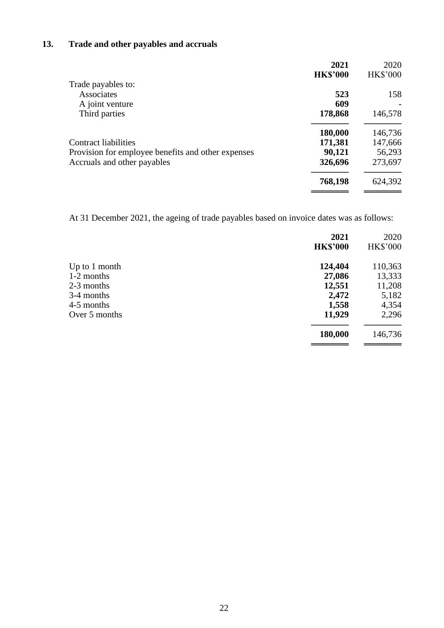## **13. Trade and other payables and accruals**

|                                                    | 2021            | 2020            |
|----------------------------------------------------|-----------------|-----------------|
|                                                    | <b>HK\$'000</b> | <b>HK\$'000</b> |
| Trade payables to:                                 |                 |                 |
| Associates                                         | 523             | 158             |
| A joint venture                                    | 609             |                 |
| Third parties                                      | 178,868         | 146,578         |
|                                                    | 180,000         | 146,736         |
| Contract liabilities                               | 171,381         | 147,666         |
| Provision for employee benefits and other expenses | 90,121          | 56,293          |
| Accruals and other payables                        | 326,696         | 273,697         |
|                                                    | 768,198         | 624,392         |
|                                                    |                 |                 |

At 31 December 2021, the ageing of trade payables based on invoice dates was as follows:

|                 | 2021<br><b>HK\$'000</b> | 2020<br><b>HK\$'000</b> |
|-----------------|-------------------------|-------------------------|
| Up to $1$ month | 124,404                 | 110,363                 |
| 1-2 months      | 27,086                  | 13,333                  |
| 2-3 months      | 12,551                  | 11,208                  |
| 3-4 months      | 2,472                   | 5,182                   |
| 4-5 months      | 1,558                   | 4,354                   |
| Over 5 months   | 11,929                  | 2,296                   |
|                 | 180,000                 | 146,736                 |
|                 |                         |                         |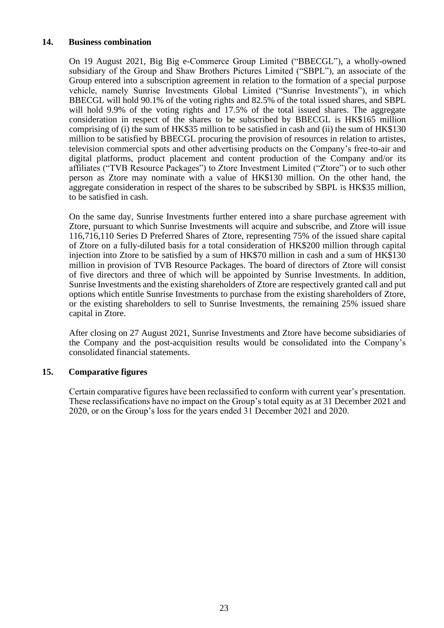#### **14. Business combination**

On 19 August 2021, Big Big e-Commerce Group Limited ("BBECGL"), a wholly-owned subsidiary of the Group and Shaw Brothers Pictures Limited ("SBPL"), an associate of the Group entered into a subscription agreement in relation to the formation of a special purpose vehicle, namely Sunrise Investments Global Limited ("Sunrise Investments"), in which BBECGL will hold 90.1% of the voting rights and 82.5% of the total issued shares, and SBPL will hold 9.9% of the voting rights and 17.5% of the total issued shares. The aggregate consideration in respect of the shares to be subscribed by BBECGL is HK\$165 million comprising of (i) the sum of HK\$35 million to be satisfied in cash and (ii) the sum of HK\$130 million to be satisfied by BBECGL procuring the provision of resources in relation to artistes, television commercial spots and other advertising products on the Company's free-to-air and digital platforms, product placement and content production of the Company and/or its affiliates ("TVB Resource Packages") to Ztore Investment Limited ("Ztore") or to such other person as Ztore may nominate with a value of HK\$130 million. On the other hand, the aggregate consideration in respect of the shares to be subscribed by SBPL is HK\$35 million, to be satisfied in cash.

On the same day, Sunrise Investments further entered into a share purchase agreement with Ztore, pursuant to which Sunrise Investments will acquire and subscribe, and Ztore will issue 116,716,110 Series D Preferred Shares of Ztore, representing 75% of the issued share capital of Ztore on a fully-diluted basis for a total consideration of HK\$200 million through capital injection into Ztore to be satisfied by a sum of HK\$70 million in cash and a sum of HK\$130 million in provision of TVB Resource Packages. The board of directors of Ztore will consist of five directors and three of which will be appointed by Sunrise Investments. In addition, Sunrise Investments and the existing shareholders of Ztore are respectively granted call and put options which entitle Sunrise Investments to purchase from the existing shareholders of Ztore, or the existing shareholders to sell to Sunrise Investments, the remaining 25% issued share capital in Ztore.

After closing on 27 August 2021, Sunrise Investments and Ztore have become subsidiaries of the Company and the post-acquisition results would be consolidated into the Company's consolidated financial statements.

## **15. Comparative figures**

Certain comparative figures have been reclassified to conform with current year's presentation. These reclassifications have no impact on the Group's total equity as at 31 December 2021 and 2020, or on the Group's loss for the years ended 31 December 2021 and 2020.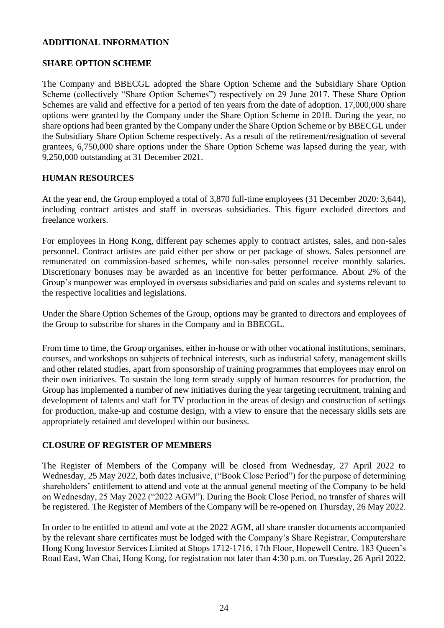#### **ADDITIONAL INFORMATION**

## **SHARE OPTION SCHEME**

The Company and BBECGL adopted the Share Option Scheme and the Subsidiary Share Option Scheme (collectively "Share Option Schemes") respectively on 29 June 2017. These Share Option Schemes are valid and effective for a period of ten years from the date of adoption. 17,000,000 share options were granted by the Company under the Share Option Scheme in 2018. During the year, no share options had been granted by the Company under the Share Option Scheme or by BBECGL under the Subsidiary Share Option Scheme respectively. As a result of the retirement/resignation of several grantees, 6,750,000 share options under the Share Option Scheme was lapsed during the year, with 9,250,000 outstanding at 31 December 2021.

## **HUMAN RESOURCES**

At the year end, the Group employed a total of 3,870 full-time employees (31 December 2020: 3,644), including contract artistes and staff in overseas subsidiaries. This figure excluded directors and freelance workers.

For employees in Hong Kong, different pay schemes apply to contract artistes, sales, and non-sales personnel. Contract artistes are paid either per show or per package of shows. Sales personnel are remunerated on commission-based schemes, while non-sales personnel receive monthly salaries. Discretionary bonuses may be awarded as an incentive for better performance. About 2% of the Group's manpower was employed in overseas subsidiaries and paid on scales and systems relevant to the respective localities and legislations.

Under the Share Option Schemes of the Group, options may be granted to directors and employees of the Group to subscribe for shares in the Company and in BBECGL.

From time to time, the Group organises, either in-house or with other vocational institutions, seminars, courses, and workshops on subjects of technical interests, such as industrial safety, management skills and other related studies, apart from sponsorship of training programmes that employees may enrol on their own initiatives. To sustain the long term steady supply of human resources for production, the Group has implemented a number of new initiatives during the year targeting recruitment, training and development of talents and staff for TV production in the areas of design and construction of settings for production, make-up and costume design, with a view to ensure that the necessary skills sets are appropriately retained and developed within our business.

## **CLOSURE OF REGISTER OF MEMBERS**

The Register of Members of the Company will be closed from Wednesday, 27 April 2022 to Wednesday, 25 May 2022, both dates inclusive, ("Book Close Period") for the purpose of determining shareholders' entitlement to attend and vote at the annual general meeting of the Company to be held on Wednesday, 25 May 2022 ("2022 AGM"). During the Book Close Period, no transfer of shares will be registered. The Register of Members of the Company will be re-opened on Thursday, 26 May 2022.

In order to be entitled to attend and vote at the 2022 AGM, all share transfer documents accompanied by the relevant share certificates must be lodged with the Company's Share Registrar, Computershare Hong Kong Investor Services Limited at Shops 1712-1716, 17th Floor, Hopewell Centre, 183 Queen's Road East, Wan Chai, Hong Kong, for registration not later than 4:30 p.m. on Tuesday, 26 April 2022.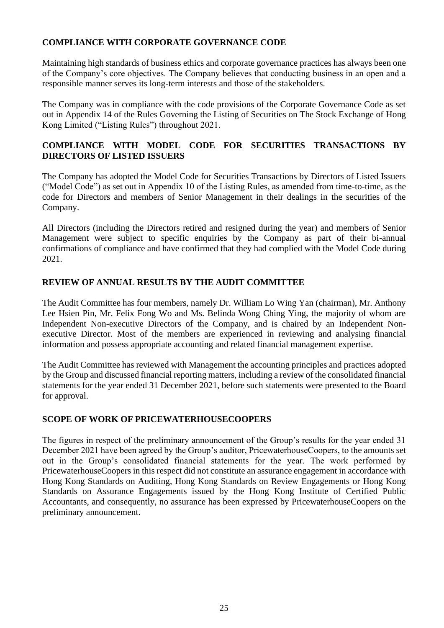## **COMPLIANCE WITH CORPORATE GOVERNANCE CODE**

Maintaining high standards of business ethics and corporate governance practices has always been one of the Company's core objectives. The Company believes that conducting business in an open and a responsible manner serves its long-term interests and those of the stakeholders.

The Company was in compliance with the code provisions of the Corporate Governance Code as set out in Appendix 14 of the Rules Governing the Listing of Securities on The Stock Exchange of Hong Kong Limited ("Listing Rules") throughout 2021.

## **COMPLIANCE WITH MODEL CODE FOR SECURITIES TRANSACTIONS BY DIRECTORS OF LISTED ISSUERS**

The Company has adopted the Model Code for Securities Transactions by Directors of Listed Issuers ("Model Code") as set out in Appendix 10 of the Listing Rules, as amended from time-to-time, as the code for Directors and members of Senior Management in their dealings in the securities of the Company.

All Directors (including the Directors retired and resigned during the year) and members of Senior Management were subject to specific enquiries by the Company as part of their bi-annual confirmations of compliance and have confirmed that they had complied with the Model Code during 2021.

## **REVIEW OF ANNUAL RESULTS BY THE AUDIT COMMITTEE**

The Audit Committee has four members, namely Dr. William Lo Wing Yan (chairman), Mr. Anthony Lee Hsien Pin, Mr. Felix Fong Wo and Ms. Belinda Wong Ching Ying, the majority of whom are Independent Non-executive Directors of the Company, and is chaired by an Independent Nonexecutive Director. Most of the members are experienced in reviewing and analysing financial information and possess appropriate accounting and related financial management expertise.

The Audit Committee has reviewed with Management the accounting principles and practices adopted by the Group and discussed financial reporting matters, including a review of the consolidated financial statements for the year ended 31 December 2021, before such statements were presented to the Board for approval.

## **SCOPE OF WORK OF PRICEWATERHOUSECOOPERS**

The figures in respect of the preliminary announcement of the Group's results for the year ended 31 December 2021 have been agreed by the Group's auditor, PricewaterhouseCoopers, to the amounts set out in the Group's consolidated financial statements for the year. The work performed by PricewaterhouseCoopers in this respect did not constitute an assurance engagement in accordance with Hong Kong Standards on Auditing, Hong Kong Standards on Review Engagements or Hong Kong Standards on Assurance Engagements issued by the Hong Kong Institute of Certified Public Accountants, and consequently, no assurance has been expressed by PricewaterhouseCoopers on the preliminary announcement.